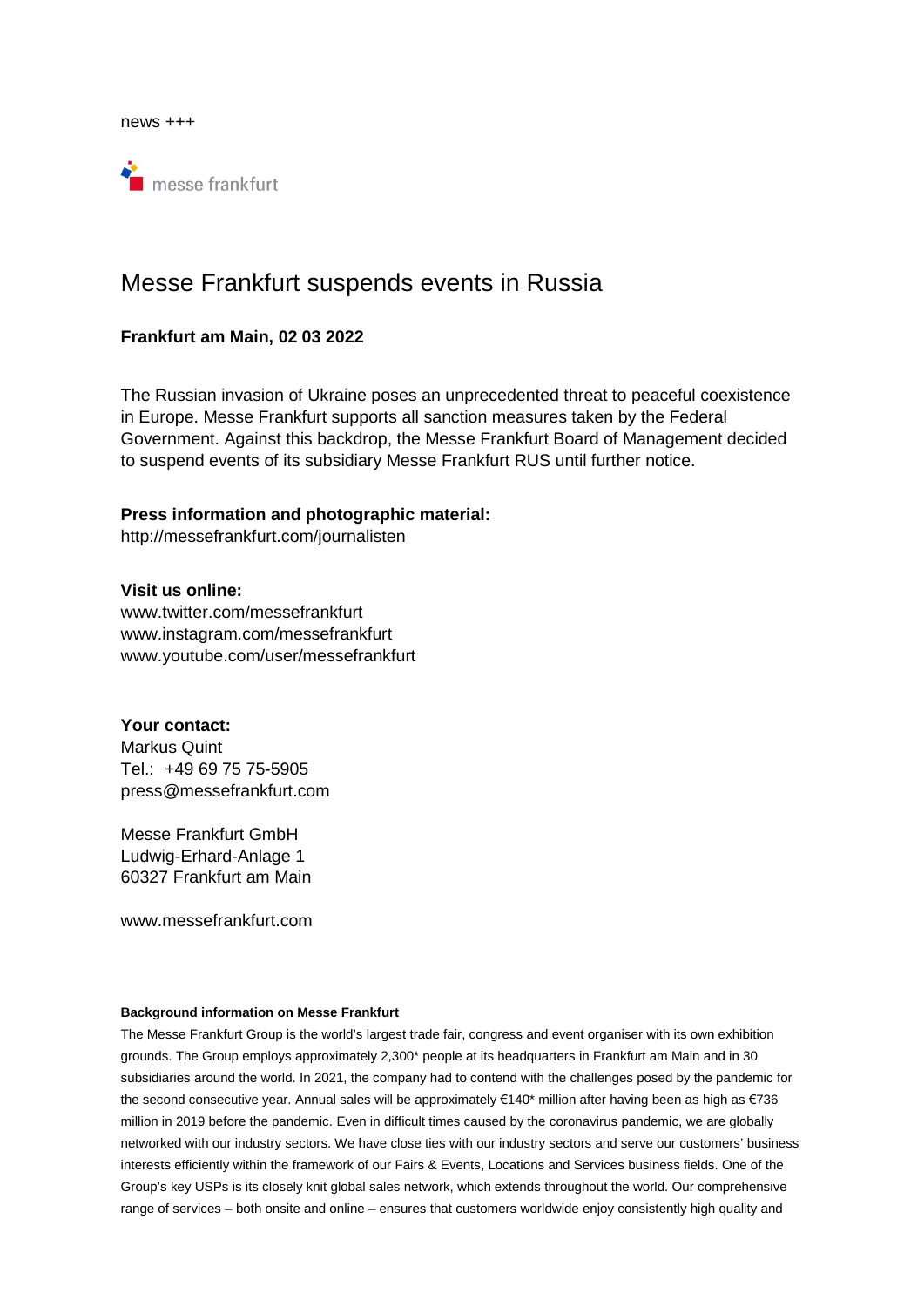news +++



## Messe Frankfurt suspends events in Russia

## **Frankfurt am Main, 02 03 2022**

The Russian invasion of Ukraine poses an unprecedented threat to peaceful coexistence in Europe. Messe Frankfurt supports all sanction measures taken by the Federal Government. Against this backdrop, the Messe Frankfurt Board of Management decided to suspend events of its subsidiary Messe Frankfurt RUS until further notice.

## **Press information and photographic material:**

http://messefrankfurt.com/journalisten

**Visit us online:**  www.twitter.com/messefrankfurt www.instagram.com/messefrankfurt www.youtube.com/user/messefrankfurt

**Your contact:**  Markus Quint Tel.: +49 69 75 75-5905 press@messefrankfurt.com

Messe Frankfurt GmbH Ludwig-Erhard-Anlage 1 60327 Frankfurt am Main

www.messefrankfurt.com

## **Background information on Messe Frankfurt**

The Messe Frankfurt Group is the world's largest trade fair, congress and event organiser with its own exhibition grounds. The Group employs approximately 2,300\* people at its headquarters in Frankfurt am Main and in 30 subsidiaries around the world. In 2021, the company had to contend with the challenges posed by the pandemic for the second consecutive year. Annual sales will be approximately €140\* million after having been as high as €736 million in 2019 before the pandemic. Even in difficult times caused by the coronavirus pandemic, we are globally networked with our industry sectors. We have close ties with our industry sectors and serve our customers' business interests efficiently within the framework of our Fairs & Events, Locations and Services business fields. One of the Group's key USPs is its closely knit global sales network, which extends throughout the world. Our comprehensive range of services – both onsite and online – ensures that customers worldwide enjoy consistently high quality and